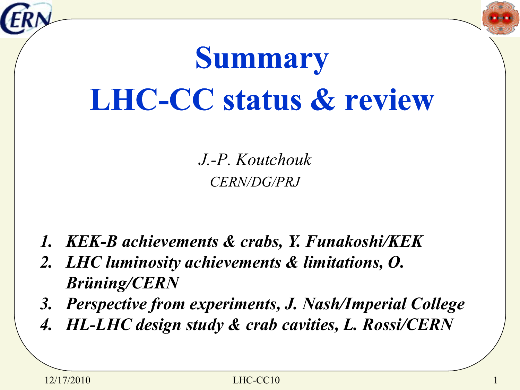



# **Summary LHC-CC status & review**

*J.-P. Koutchouk CERN/DG/PRJ*

- *1. KEK-B achievements & crabs, Y. Funakoshi/KEK*
- *2. LHC luminosity achievements & limitations, O. Brüning/CERN*
- *3. Perspective from experiments, J. Nash/Imperial College*
- *4. HL-LHC design study & crab cavities, L. Rossi/CERN*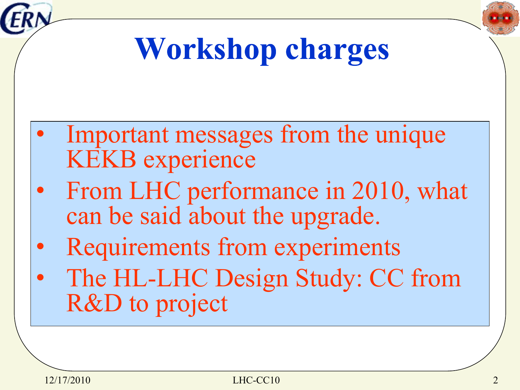



## **Workshop charges**

- Important messages from the unique KEKB experience
- From LHC performance in 2010, what can be said about the upgrade.
- Requirements from experiments
- The HL-LHC Design Study: CC from R&D to project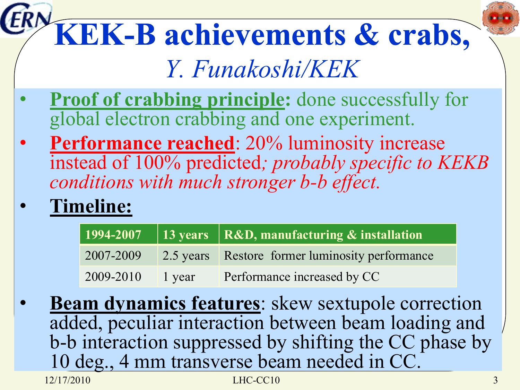#### **KEK-B achievements & crabs,**  *Y. Funakoshi/KEK*

- **Proof of crabbing principle:** done successfully for global electron crabbing and one experiment.
- **Performance reached**: 20% luminosity increase instead of 100% predicted*; probably specific to KEKB conditions with much stronger b-b effect.*
- **Timeline:**

|           |        | 1994-2007   13 years   R&D, manufacturing & installation |
|-----------|--------|----------------------------------------------------------|
| 2007-2009 |        | 2.5 years Restore former luminosity performance          |
| 2009-2010 | 1 year | Performance increased by CC                              |

12/17/2010 LHC-CC10 **Beam dynamics features:** skew sextupole correction added, peculiar interaction between beam loading and b-b interaction suppressed by shifting the CC phase by 10 deg., 4 mm transverse beam needed in CC.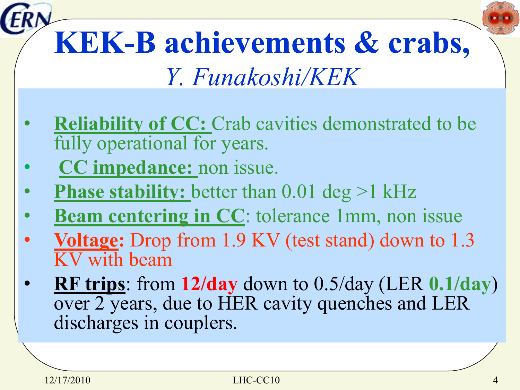# **KEK-B achievements & crabs,**

*Y. Funakoshi/KEK*

- **Reliability of CC:** Crab cavities demonstrated to be fully operational for years.
- **CC impedance:** non issue.
- **Phase stability:** better than 0.01 deg >1 kHz
- **Beam centering in CC**: tolerance 1mm, non issue
- **Voltage:** Drop from 1.9 KV (test stand) down to 1.3 KV with beam
- **RF trips**: from **12/day** down to 0.5/day (LER **0.1/day**) over 2 years, due to HER cavity quenches and LER discharges in couplers.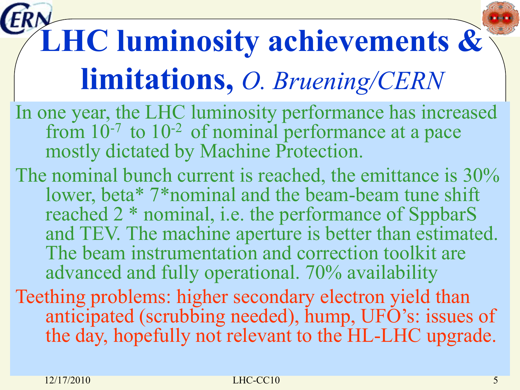# **LHC luminosity achievements & limitations,** *O. Bruening/CERN*

- In one year, the LHC luminosity performance has increased from  $10^{-7}$  to  $10^{-2}$  of nominal performance at a pace mostly dictated by Machine Protection.
- The nominal bunch current is reached, the emittance is  $30\%$ lower, beta\* 7\*nominal and the beam-beam tune shift reached 2 \* nominal, i.e. the performance of SppbarS and TEV. The machine aperture is better than estimated. The beam instrumentation and correction toolkit are advanced and fully operational. 70% availability
- Teething problems: higher secondary electron yield than anticipated (scrubbing needed), hump, UFO's: issues of the day, hopefully not relevant to the HL-LHC upgrade.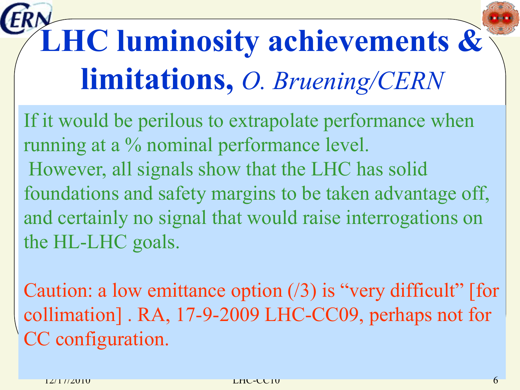# **LHC luminosity achievements & limitations,** *O. Bruening/CERN*

If it would be perilous to extrapolate performance when running at a % nominal performance level. However, all signals show that the LHC has solid foundations and safety margins to be taken advantage off, and certainly no signal that would raise interrogations on the HL-LHC goals.

Caution: a low emittance option (/3) is "very difficult" [for collimation] . RA, 17-9-2009 LHC-CC09, perhaps not for CC configuration.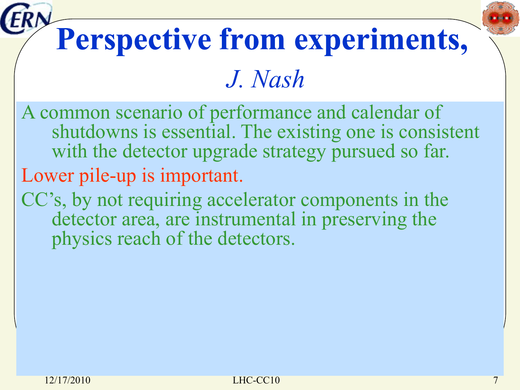# **Perspective from experiments,**

#### *J. Nash*

- A common scenario of performance and calendar of shutdowns is essential. The existing one is consistent with the detector upgrade strategy pursued so far. Lower pile-up is important.
- CC's, by not requiring accelerator components in the detector area, are instrumental in preserving the physics reach of the detectors.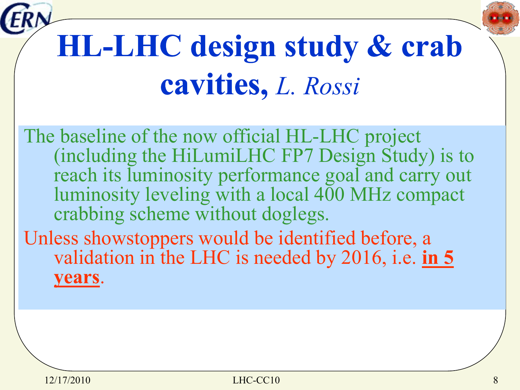



## **HL-LHC design study & crab cavities,** *L. Rossi*

The baseline of the now official HL-LHC project (including the HiLumiLHC FP7 Design Study) is to reach its luminosity performance goal and carry out luminosity leveling with a local 400 MHz compact crabbing scheme without doglegs.

Unless showstoppers would be identified before, a validation in the LHC is needed by 2016, i.e. **in 5 years**.